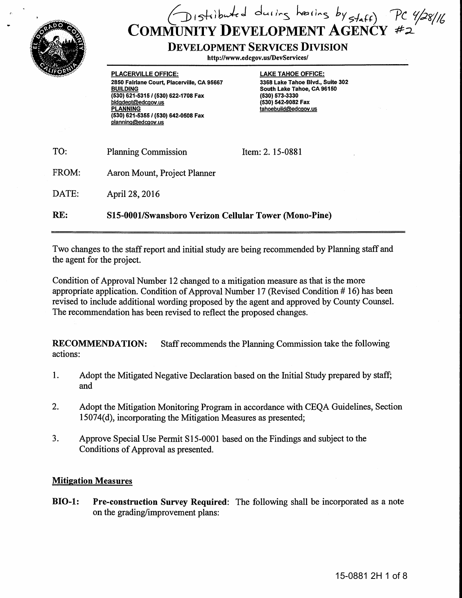

# $D$  istibuted during hearing by staff) COMMUNITY DEVELOPMENT AGENCY

## DEVELOPMENT SERVICES DIVISION

http://www.edcgov.us/DevServices/

PLACERVILLE OFFICE: 2850 Fairlane Court, Placerville, CA 95667 BUILDING (530) 621-5315/ (530) 622-1708 Fax bldqdept@edcaov.us **PLANNING** (530) 621-5355/ (530) 642-0508 Fax planninq@edcaov.us

LAKE TAHOE OFFICE: 3368 Lake Tahoe Blvd., Suite 302 South Lake Tahoe, CA 96150 (530) 573-3330 (530) 542-9082 Fax tahoebuild@edcgov.us

| TO:   | <b>Planning Commission</b>                            | Item: 2.15-0881 |
|-------|-------------------------------------------------------|-----------------|
| FROM: | Aaron Mount, Project Planner                          |                 |
| DATE: | April 28, 2016                                        |                 |
| RE:   | S15-0001/Swansboro Verizon Cellular Tower (Mono-Pine) |                 |

Two changes to the staff report and initial study are being recommended by Planning staff and the agent for the project.

Condition of Approval Number 12 changed to a mitigation measure as that is the more appropriate application. Condition of Approval Number 17 (Revised Condition # 16) has been revised to include additional wording proposed by the agent and approved by County Counsel. The recommendation has been revised to reflect the proposed changes.

RECOMMENDATION: Staff recommends the Planning Commission take the following actions:

- 1. Adopt the Mitigated Negative Declaration based on the Initial Study prepared by staff; and
- 2. Adopt the Mitigation Monitoring Program in accordance with CEQA Guidelines, Section 15074(d), incorporating the Mitigation Measures as presented;
- 3. Approve Special Use Permit S15-0001 based on the Findings and subject to the Conditions of Approval as presented.

### Mitigation Measures

BI0-1: Pre-construction Survey Required: The following shall be incorporated as a note on the grading/improvement plans: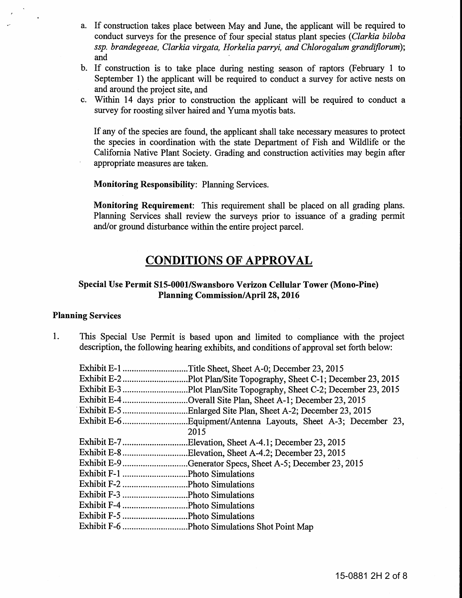- a. If construction takes place between May and June, the applicant will be required to conduct surveys for the presence of four special status plant species *(Clarkia biloba ssp. brandegeeae, Clarkia virgata, Horkelia parryi, and Chlorogalum grandiflorum);*  and
- b. If construction is to take place during nesting season of raptors (February 1 to September 1) the applicant will be required to conduct a survey for active nests on and around the project site, and
- c. Within 14 days prior to construction the applicant will be required to conduct a survey for roosting silver haired and Yuma myotis bats.

If any of the species are found, the applicant shall take necessary measures to protect the species in coordination with the state Department of Fish and Wildlife or the California Native Plant Society. Grading and construction activities may begin after appropriate measures are taken.

Monitoring Responsibility: Planning Services.

Monitoring Requirement: This requirement shall be placed on all grading plans. Planning Services shall review the surveys prior to issuance of a grading permit and/or ground disturbance within the entire project parcel.

## CONDITIONS OF APPROVAL

#### Special Use Permit 815-0001/Swansboro Verizon Cellular Tower (Mono-Pine) Planning Commission/April28, 2016

#### Planning Services

1. This Special Use Permit is based upon and limited to compliance with the project description, the following hearing exhibits, and conditions of approval set forth below:

| Title Sheet, Sheet A-0; December 23, 2015.               |
|----------------------------------------------------------|
|                                                          |
|                                                          |
| Overall Site Plan, Sheet A-1; December 23, 2015          |
|                                                          |
|                                                          |
| 2015                                                     |
| Elevation, Sheet A-4.1; December 23, 2015.               |
| Exhibit E-8Elevation, Sheet A-4.2; December 23, 2015     |
| Exhibit E-9Generator Specs, Sheet A-5; December 23, 2015 |
|                                                          |
|                                                          |
|                                                          |
|                                                          |
|                                                          |
|                                                          |
|                                                          |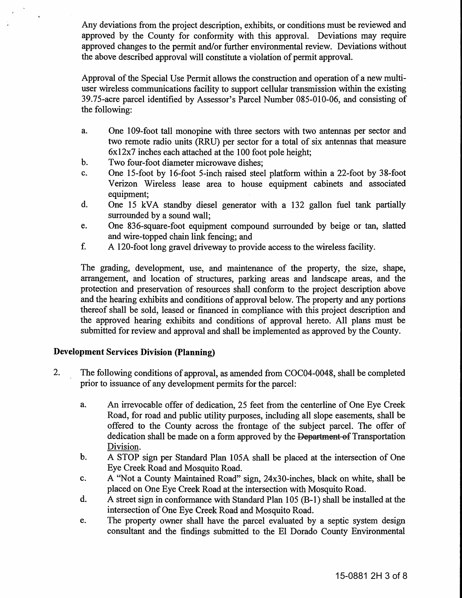Any deviations from the project description, exhibits, or conditions must be reviewed and approved by the County for conformity with this approval. Deviations may require approved changes to the permit and/or further environmental review. Deviations without the above described approval will constitute a violation of permit approval.

Approval of the Special Use Permit allows the construction and operation of a new multiuser wireless communications facility to support cellular transmission within the existing 39.75-acre parcel identified by Assessor's Parcel Number 085-010-06, and consisting of the following:

- a. One 109-foot tall monopine with three sectors with two antennas per sector and two remote radio units (RRU) per sector for a total of six antennas that measure 6x 12x7 inches each attached at the 1 00 foot pole height;
- b. Two four-foot diameter microwave dishes;
- c. One 15-foot by 16-foot 5-inch raised steel platform within a 22-foot by 38-foot Verizon Wireless lease area to house equipment cabinets and associated equipment;
- d. One 15 kVA standby diesel generator with a 132 gallon fuel tank partially surrounded by a sound wall;
- e. One 836-square-foot equipment compound surrounded by beige or tan, slatted and wire-topped chain link fencing; and
- f. A 120-foot long gravel driveway to provide access to the wireless facility.

The grading, development, use, and maintenance of the property, the size, shape, arrangement, and location of structures, parking areas and landscape areas, and the protection and preservation of resources shall conform to the project description above and the hearing exhibits and conditions of approval below. The property and any portions thereof shall be sold, leased or financed in compliance with this project description and the approved hearing exhibits and conditions of approval hereto. All plans must be submitted for review and approval and shall be implemented as approved by the County.

#### Development Services Division (Planning)

- 2. The following conditions of approval, as amended from COC04-0048, shall be completed prior to issuance of any development permits for the parcel:
	- a. An irrevocable offer of dedication, 25 feet from the centerline of One Eye Creek Road, for road and public utility purposes, including all slope easements, shall be offered to the County across the frontage of the subject parcel. The offer of dedication shall be made on a form approved by the Department of Transportation Division.
	- b. A STOP sign per Standard Plan 105A shall be placed at the intersection of One Eye Creek Road and Mosquito Road.
	- c. A "Not a County Maintained Road" sign, 24x30-inches, black on white, shall be placed on One Eye Creek Road at the intersection with Mosquito Road.
	- d. A street sign in conformance with Standard Plan 105 (B-1) shall be installed at the intersection of One Eye Creek Road and Mosquito Road.
	- e. The property owner shall have the parcel evaluated by a septic system design consultant and the findings submitted to the El Dorado County Environmental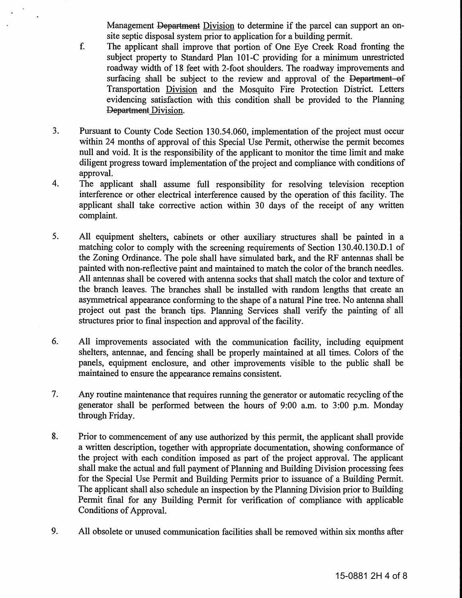Management Department Division to determine if the parcel can support an onsite septic disposal system prior to application for a building permit.

- f. The applicant shall improve that portion of One Eye Creek Road fronting the subject property to Standard Plan 101-C providing for a minimum unrestricted roadway width of 18 feet with 2-foot shoulders. The roadway improvements and surfacing shall be subject to the review and approval of the Department of Transportation Division and the Mosquito Fire Protection District. Letters evidencing satisfaction with this condition shall be provided to the Planning Department Division.
- 3. Pursuant to County Code Section 130.54.060, implementation of the project must occur within 24 months of approval of this Special Use Permit, otherwise the permit becomes null and void. It is the responsibility of the applicant to monitor the time limit and make diligent progress toward implementation of the project and compliance with conditions of approval.
- 4. The applicant shall assume full responsibility for resolving television reception interference or other electrical interference caused by the operation of this facility. The applicant shall take corrective action within 30 days of the receipt of any written complaint.
- 5. All equipment shelters, cabinets or other auxiliary structures shall be painted in a matching color to comply with the screening requirements of Section 130.40.130.D.l of the Zoning Ordinance. The pole shall have simulated bark, and the RF antennas shall be painted with non-reflective paint and maintained to match the color of the branch needles. All antennas shall be covered with antenna socks that shall match the color and texture of the branch leaves. The branches shall be installed with random lengths that create an asymmetrical appearance conforming to the shape of a natural Pine tree. No antenna shall project out past the branch tips. Planning Services shall verify the painting of all structures prior to final inspection and approval of the facility.
- 6. All improvements associated with the communication facility, including equipment shelters, antennae, and fencing shall be properly maintained at all times. Colors of the panels, equipment enclosure, and other improvements visible to the public shall be maintained to ensure the appearance remains consistent.
- 7. Any routine maintenance that requires running the generator or automatic recycling of the generator shall be performed between the hours of 9:00 a.m. to 3:00 p.m. Monday through Friday.
- 8. Prior to commencement of any use authorized by this permit, the applicant shall provide a written description, together with appropriate documentation, showing conformance of the project with each condition imposed as part of the project approval. The applicant shall make the actual and full payment of Planning and Building Division processing fees for the Special Use Permit and Building Permits prior to issuance of a Building Permit. The applicant shall also schedule an inspection by the Planning Division prior to Building Permit final for any Building Permit for verification of compliance with applicable Conditions of Approval.
- 9. All obsolete or unused communication facilities shall be removed within six months after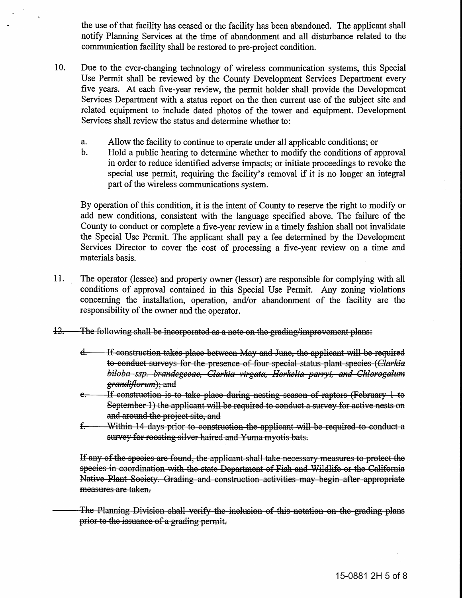the use of that facility has ceased or the facility has been abandoned. The applicant shall notify Planning Services at the time of abandonment and all disturbance related to the communication facility shall be restored to pre-project condition.

- 10. Due to the ever-changing technology of wireless communication systems, this Special Use Permit shall be reviewed by the County Development Services Department every five years. At each five-year review, the permit holder shall provide the Development Services Department with a status report on the then current use of the subject site and related equipment to include dated photos of the tower and equipment. Development Services shall review the status and determine whether to:
	- a. Allow the facility to continue to operate under all applicable conditions; or
	- b. Hold a public hearing to determine whether to modify the conditions of approval in order to reduce identified adverse impacts; or initiate proceedings to revoke the special use permit, requiring the facility's removal if it is no longer an integral part of the wireless communications system.

By operation of this condition, it is the intent of County to reserve the right to modify or add new conditions, consistent with the language specified above. The failure of the County to conduct or complete a five-year review in a timely fashion shall not invalidate the Special Use Permit. The applicant shall pay a fee determined by the Development Services Director to cover the cost of processing a five-year review on a time and materials basis.

- 11. The operator (lessee) and property owner (lessor) are responsible for complying with all conditions of approval contained in this Special Use Permit. Any zoning violations concerning the installation, operation, and/or abandonment of the facility are the responsibility of the owner and the operator.
- 12. The following shall be incorporated as a note on the grading/improvement plans:
	- d. If construction takes place between May and June, the applicant will be required to conduct surveys for the presence of four special status plant species *(Clarkia biloba ssp. brandegeeae, Clarkia virgata, Horkelia parryi, and Chlorogalum ; and*
	- e. If construction is to take place during nesting season of raptors (February 1 to September 1) the applicant will be required to conduct a survey for active nests on and around the project site, and
	- f. Within 14 days prior to construction the applicant will be required to conduct a survey for roosting silver haired and Yuma myotis bats.

If any of the species are found, the applicant shall take necessary measures to protect the species in coordination with the state Department of Fish and Wildlife or the California Native Plant Society. Grading and construction activities may begin after appropriate measures are taken.

The Planning Division shall verify the inclusion of this notation on the grading plans prior to the issuance of a grading permit.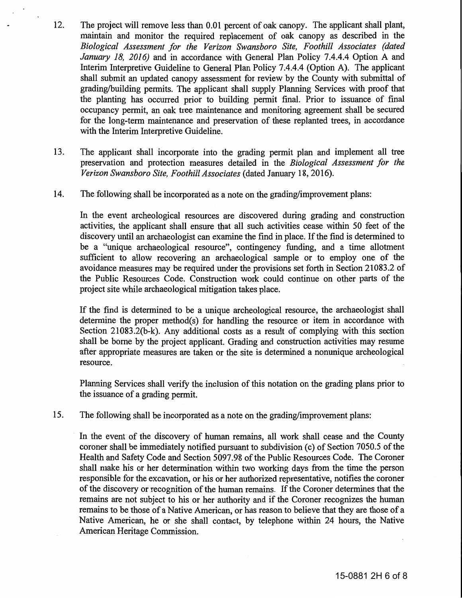- 12. The project will remove less than 0.01 percent of oak canopy. The applicant shall plant, maintain and monitor the required replacement of oak canopy as described in the *Biological Assessment for the Verizon Swansboro Site, Foothill Associates (dated January 18, 2016)* and in accordance with General Plan Policy 7.4.4.4 Option A and Interim Interpretive Guideline to General Plan Policy 7 .4.4.4 (Option A). The applicant shall submit an updated canopy assessment for review by the County with submittal of grading/building permits. The applicant shall supply Planning Services with proof that the planting has occurred prior to building permit final. Prior to issuance of final occupancy permit, an oak tree maintenance and monitoring agreement shall be secured for the long-term maintenance and preservation of these replanted trees, in accordance with the Interim Interpretive Guideline.
- 13. The applicant shall incorporate into the grading permit plan and implement all tree preservation and protection measures detailed in the *Biological Assessment for the Verizon Swansboro Site, Foothill Associates* (dated January 18, 2016).
- 14. The following shall be incorporated as a note on the grading/improvement plans:

In the event archeological resources are discovered during grading and construction activities, the applicant shall ensure that all such activities cease within 50 feet of the discovery until an archaeologist can examine the find in place. If the find is determined to be a "unique archaeological resource", contingency funding, and a time allotment sufficient to allow recovering an archaeological sample or to employ one of the avoidance measures may be required under the provisions set forth in Section 21083.2 of the Public Resources Code. Construction work could continue on other parts of the project site while archaeological mitigation takes place.

If the find is determined to be a unique archeological resource, the archaeologist shall determine the proper method(s) for handling the resource or item in accordance with Section 21083.2(b-k). Any additional costs as a result of complying with this section shall be borne by the project applicant. Grading and construction activities may resume after appropriate measures are taken or the site is determined a nonunique archeological resource.

Planning Services shall verify the inclusion of this notation on the grading plans prior to the issuance of a grading permit.

15. The following shall be incorporated as a note on the grading/improvement plans:

In the event of the discovery of human remains, all work shall cease and the County coroner shall be immediately notified pursuant to subdivision (c) of Section 7050.5 of the Health and Safety Code and Section 5097.98 of the Public Resources Code. The Coroner shall make his or her determination within two working days from the time the person responsible for the excavation, or his or her authorized representative, notifies the coroner of the discovery or recognition of the human remains. If the Coroner determines that the remains are not subject to his or her authority and if the Coroner recognizes the human remains to be those of a Native American, or has reason to believe that they are those of a Native American, he or she shall contact, by telephone within 24 hours, the Native American Heritage Commission.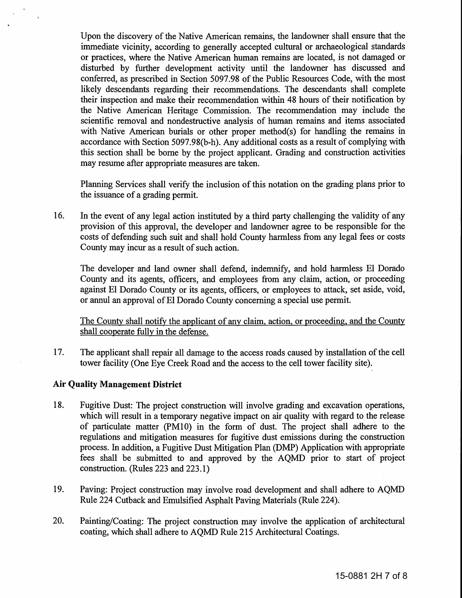Upon the discovery of the Native American remains, the landowner shall ensure that the immediate vicinity, according to generally accepted cultural or archaeological standards or practices, where the Native American human remains are located, is not damaged or disturbed by further development activity until the landowner has discussed and conferred, as prescribed in Section 5097.98 of the Public Resources Code, with the most likely descendants regarding their recommendations. The descendants shall complete their inspection and make their recommendation within 48 hours of their notification by the Native American Heritage Commission. The recommendation may include the scientific removal and nondestructive analysis of human remains and items associated with Native American burials or other proper method(s) for handling the remains in accordance with Section 5097 .98(b-h). Any additional costs as a result of complying with this section shall be borne by the project applicant. Grading and construction activities may resume after appropriate measures are taken.

Planning Services shall verify the inclusion of this notation on the grading plans prior to the issuance of a grading permit.

16. In the event of any legal action instituted by a third party challenging the validity of any provision of this approval, the developer and landowner agree to be responsible for the costs of defending such suit and shall hold County harmless from any legal fees or costs County may incur as a result of such action.

The developer and land owner shall defend, indemnify, and hold harmless El Dorado County and its agents, officers, and employees from any claim, action, or proceeding against El Dorado County or its agents, officers, or employees to attack, set aside, void, or annul an approval of El Dorado County concerning a special use permit.

The County shall notify the applicant of any claim, action, or proceeding, and the County shall cooperate fully in the defense.

17. The applicant shall repair all damage to the access roads caused by installation of the cell tower facility (One Eye Creek Road and the access to the cell tower facility site).

#### **Air Quality Management District**

- 18. Fugitive Dust: The project construction will involve grading and excavation operations, which will result in a temporary negative impact on air quality with regard to the release of particulate matter (PM10) in the form of dust. The project shall adhere to the regulations and mitigation measures for fugitive dust emissions during the construction process. In addition, a Fugitive Dust Mitigation Plan (DMP) Application with appropriate fees shall be submitted to and approved by the AQMD prior to start of project construction. (Rules 223 and 223.1)
- 19. Paving: Project construction may involve road development and shall adhere to AQMD Rule 224 Cutback and Emulsified Asphalt Paving Materials (Rule 224).
- 20. Painting/Coating: The project construction may involve the application of architectural coating, which shall adhere to AQMD Rule 215 Architectural Coatings.